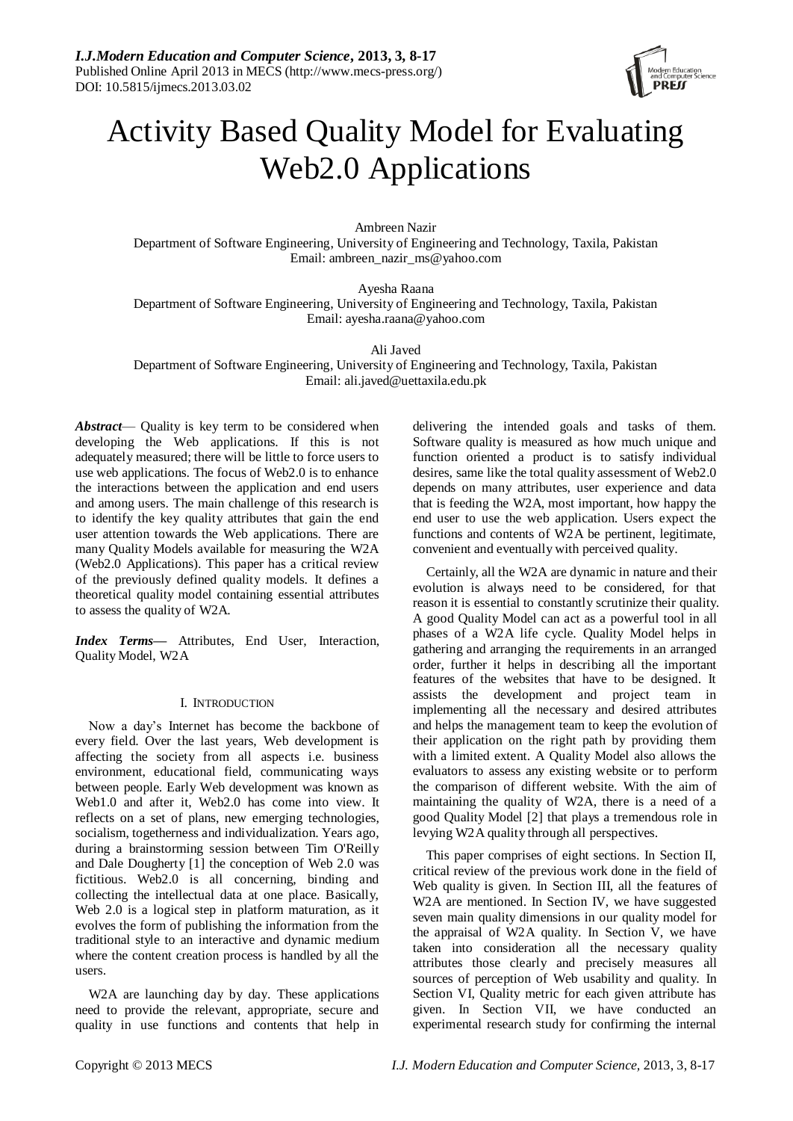

# Activity Based Quality Model for Evaluating Web2.0 Applications

Ambreen Nazir Department of Software Engineering, University of Engineering and Technology, Taxila, Pakistan Email: ambreen\_nazir\_ms@yahoo.com

Ayesha Raana Department of Software Engineering, University of Engineering and Technology, Taxila, Pakistan Email: ayesha.raana@yahoo.com

Ali Javed Department of Software Engineering, University of Engineering and Technology, Taxila, Pakistan Email: ali.javed@uettaxila.edu.pk

*Abstract*— Quality is key term to be considered when developing the Web applications. If this is not adequately measured; there will be little to force users to use web applications. The focus of Web2.0 is to enhance the interactions between the application and end users and among users. The main challenge of this research is to identify the key quality attributes that gain the end user attention towards the Web applications. There are many Quality Models available for measuring the W2A (Web2.0 Applications). This paper has a critical review of the previously defined quality models. It defines a theoretical quality model containing essential attributes to assess the quality of W2A.

*Index Terms***—** Attributes, End User, Interaction, Quality Model, W2A

# I. INTRODUCTION

Now a day's Internet has become the backbone of every field. Over the last years, Web development is affecting the society from all aspects i.e. business environment, educational field, communicating ways between people. Early Web development was known as Web1.0 and after it, Web2.0 has come into view. It reflects on a set of plans, new emerging technologies, socialism, togetherness and individualization. Years ago, during a brainstorming session between Tim O'Reilly and Dale Dougherty [1] the conception of Web 2.0 was fictitious. Web2.0 is all concerning, binding and collecting the intellectual data at one place. Basically, Web 2.0 is a logical step in platform maturation, as it evolves the form of publishing the information from the traditional style to an interactive and dynamic medium where the content creation process is handled by all the users.

W2A are launching day by day. These applications need to provide the relevant, appropriate, secure and quality in use functions and contents that help in

delivering the intended goals and tasks of them. Software quality is measured as how much unique and function oriented a product is to satisfy individual desires, same like the total quality assessment of Web2.0 depends on many attributes, user experience and data that is feeding the W2A, most important, how happy the end user to use the web application. Users expect the functions and contents of W2A be pertinent, legitimate, convenient and eventually with perceived quality.

Certainly, all the W2A are dynamic in nature and their evolution is always need to be considered, for that reason it is essential to constantly scrutinize their quality. A good Quality Model can act as a powerful tool in all phases of a W2A life cycle. Quality Model helps in gathering and arranging the requirements in an arranged order, further it helps in describing all the important features of the websites that have to be designed. It assists the development and project team in implementing all the necessary and desired attributes and helps the management team to keep the evolution of their application on the right path by providing them with a limited extent. A Quality Model also allows the evaluators to assess any existing website or to perform the comparison of different website. With the aim of maintaining the quality of W2A, there is a need of a good Quality Model [2] that plays a tremendous role in levying W2A quality through all perspectives.

This paper comprises of eight sections. In Section II, critical review of the previous work done in the field of Web quality is given. In Section III, all the features of W2A are mentioned. In Section IV, we have suggested seven main quality dimensions in our quality model for the appraisal of W2A quality. In Section V, we have taken into consideration all the necessary quality attributes those clearly and precisely measures all sources of perception of Web usability and quality. In Section VI, Quality metric for each given attribute has given. In Section VII, we have conducted an experimental research study for confirming the internal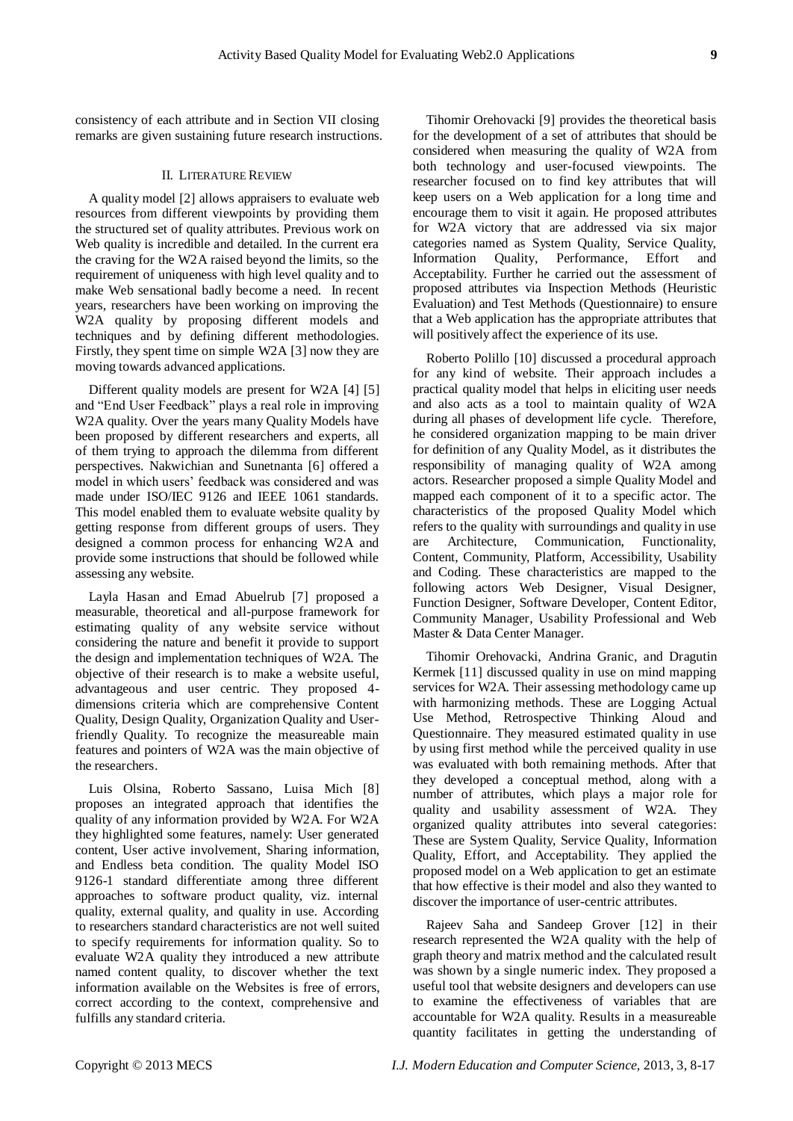consistency of each attribute and in Section VII closing remarks are given sustaining future research instructions.

#### II. LITERATURE REVIEW

A quality model [2] allows appraisers to evaluate web resources from different viewpoints by providing them the structured set of quality attributes. Previous work on Web quality is incredible and detailed. In the current era the craving for the W2A raised beyond the limits, so the requirement of uniqueness with high level quality and to make Web sensational badly become a need. In recent years, researchers have been working on improving the W2A quality by proposing different models and techniques and by defining different methodologies. Firstly, they spent time on simple W2A [3] now they are moving towards advanced applications.

Different quality models are present for W2A [4] [5] and "End User Feedback" plays a real role in improving W2A quality. Over the years many Quality Models have been proposed by different researchers and experts, all of them trying to approach the dilemma from different perspectives. Nakwichian and Sunetnanta [6] offered a model in which users' feedback was considered and was made under ISO/IEC 9126 and IEEE 1061 standards. This model enabled them to evaluate website quality by getting response from different groups of users. They designed a common process for enhancing W2A and provide some instructions that should be followed while assessing any website.

Layla Hasan and Emad Abuelrub [7] proposed a measurable, theoretical and all-purpose framework for estimating quality of any website service without considering the nature and benefit it provide to support the design and implementation techniques of W2A. The objective of their research is to make a website useful, advantageous and user centric. They proposed 4 dimensions criteria which are comprehensive Content Quality, Design Quality, Organization Quality and Userfriendly Quality. To recognize the measureable main features and pointers of W2A was the main objective of the researchers.

Luis Olsina, Roberto Sassano, Luisa Mich [8] proposes an integrated approach that identifies the quality of any information provided by W2A. For W2A they highlighted some features, namely: User generated content, User active involvement, Sharing information, and Endless beta condition. The quality Model ISO 9126-1 standard differentiate among three different approaches to software product quality, viz. internal quality, external quality, and quality in use. According to researchers standard characteristics are not well suited to specify requirements for information quality. So to evaluate W2A quality they introduced a new attribute named content quality, to discover whether the text information available on the Websites is free of errors, correct according to the context, comprehensive and fulfills any standard criteria.

Tihomir Orehovacki [9] provides the theoretical basis for the development of a set of attributes that should be considered when measuring the quality of W2A from both technology and user-focused viewpoints. The researcher focused on to find key attributes that will keep users on a Web application for a long time and encourage them to visit it again. He proposed attributes for W2A victory that are addressed via six major categories named as System Quality, Service Quality, Information Quality, Performance, Effort and Acceptability. Further he carried out the assessment of proposed attributes via Inspection Methods (Heuristic Evaluation) and Test Methods (Questionnaire) to ensure that a Web application has the appropriate attributes that will positively affect the experience of its use.

Roberto Polillo [10] discussed a procedural approach for any kind of website. Their approach includes a practical quality model that helps in eliciting user needs and also acts as a tool to maintain quality of W2A during all phases of development life cycle. Therefore, he considered organization mapping to be main driver for definition of any Quality Model, as it distributes the responsibility of managing quality of W2A among actors. Researcher proposed a simple Quality Model and mapped each component of it to a specific actor. The characteristics of the proposed Quality Model which refers to the quality with surroundings and quality in use are Architecture, Communication, Functionality, Content, Community, Platform, Accessibility, Usability and Coding. These characteristics are mapped to the following actors Web Designer, Visual Designer, Function Designer, Software Developer, Content Editor, Community Manager, Usability Professional and Web Master & Data Center Manager.

Tihomir Orehovacki, Andrina Granic, and Dragutin Kermek [11] discussed quality in use on mind mapping services for W2A. Their assessing methodology came up with harmonizing methods. These are Logging Actual Use Method, Retrospective Thinking Aloud and Questionnaire. They measured estimated quality in use by using first method while the perceived quality in use was evaluated with both remaining methods. After that they developed a conceptual method, along with a number of attributes, which plays a major role for quality and usability assessment of W2A. They organized quality attributes into several categories: These are System Quality, Service Quality, Information Quality, Effort, and Acceptability. They applied the proposed model on a Web application to get an estimate that how effective is their model and also they wanted to discover the importance of user-centric attributes.

Rajeev Saha and Sandeep Grover [12] in their research represented the W2A quality with the help of graph theory and matrix method and the calculated result was shown by a single numeric index. They proposed a useful tool that website designers and developers can use to examine the effectiveness of variables that are accountable for W2A quality. Results in a measureable quantity facilitates in getting the understanding of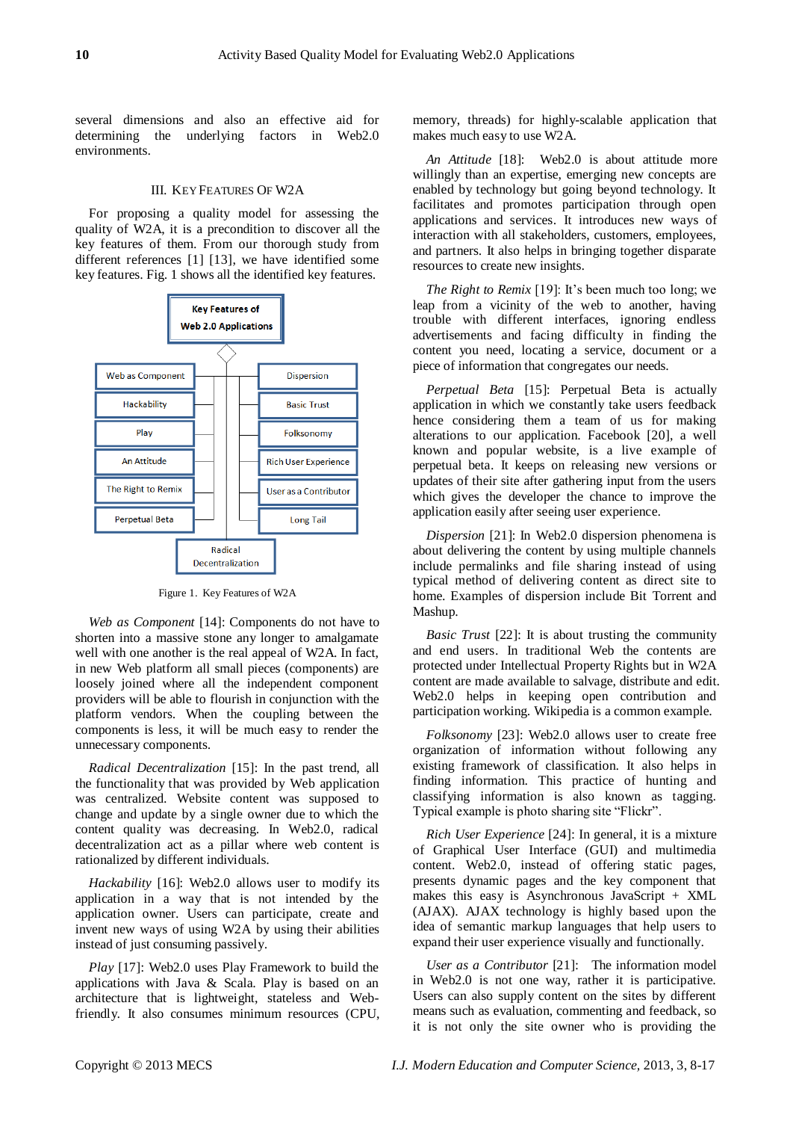several dimensions and also an effective aid for determining the underlying factors in Web2.0 environments.

#### III. KEY FEATURES OF W2A

For proposing a quality model for assessing the quality of W2A, it is a precondition to discover all the key features of them. From our thorough study from different references [1] [13], we have identified some key features. Fig. 1 shows all the identified key features.



Figure 1. Key Features of W2A

*Web as Component* [14]: Components do not have to shorten into a massive stone any longer to amalgamate well with one another is the real appeal of W2A. In fact, in new Web platform all small pieces (components) are loosely joined where all the independent component providers will be able to flourish in conjunction with the platform vendors. When the coupling between the components is less, it will be much easy to render the unnecessary components.

*Radical Decentralization* [15]: In the past trend, all the functionality that was provided by Web application was centralized. Website content was supposed to change and update by a single owner due to which the content quality was decreasing. In Web2.0, radical decentralization act as a pillar where web content is rationalized by different individuals.

*Hackability* [16]: Web2.0 allows user to modify its application in a way that is not intended by the application owner. Users can participate, create and invent new ways of using W2A by using their abilities instead of just consuming passively.

*Play* [17]: Web2.0 uses Play Framework to build the applications with Java & Scala. Play is based on an architecture that is lightweight, stateless and Webfriendly. It also consumes minimum resources (CPU, memory, threads) for highly-scalable application that makes much easy to use W2A.

*An Attitude* [18]: Web2.0 is about attitude more willingly than an expertise, emerging new concepts are enabled by technology but going beyond technology. It facilitates and promotes participation through open applications and services. It introduces new ways of interaction with all stakeholders, customers, employees, and partners. It also helps in bringing together disparate resources to create new insights.

*The Right to Remix* [19]: It's been much too long; we leap from a vicinity of the web to another, having trouble with different interfaces, ignoring endless advertisements and facing difficulty in finding the content you need, locating a service, document or a piece of information that congregates our needs.

*Perpetual Beta* [15]: Perpetual Beta is actually application in which we constantly take users feedback hence considering them a team of us for making alterations to our application. Facebook [20], a well known and popular website, is a live example of perpetual beta. It keeps on releasing new versions or updates of their site after gathering input from the users which gives the developer the chance to improve the application easily after seeing user experience.

*Dispersion* [21]: In Web2.0 dispersion phenomena is about delivering the content by using multiple channels include permalinks and file sharing instead of using typical method of delivering content as direct site to home. Examples of dispersion include Bit Torrent and Mashup.

*Basic Trust* [22]: It is about trusting the community and end users. In traditional Web the contents are protected under Intellectual Property Rights but in W2A content are made available to salvage, distribute and edit. Web2.0 helps in keeping open contribution and participation working. Wikipedia is a common example.

*Folksonomy* [23]: Web2.0 allows user to create free organization of information without following any existing framework of classification. It also helps in finding information. This practice of hunting and classifying information is also known as tagging. Typical example is photo sharing site "Flickr".

*Rich User Experience* [24]: In general, it is a mixture of Graphical User Interface (GUI) and multimedia content. Web2.0, instead of offering static pages, presents dynamic pages and the key component that makes this easy is Asynchronous JavaScript + XML (AJAX). AJAX technology is highly based upon the idea of semantic markup languages that help users to expand their user experience visually and functionally.

*User as a Contributor* [21]: The information model in Web2.0 is not one way, rather it is participative. Users can also supply content on the sites by different means such as evaluation, commenting and feedback, so it is not only the site owner who is providing the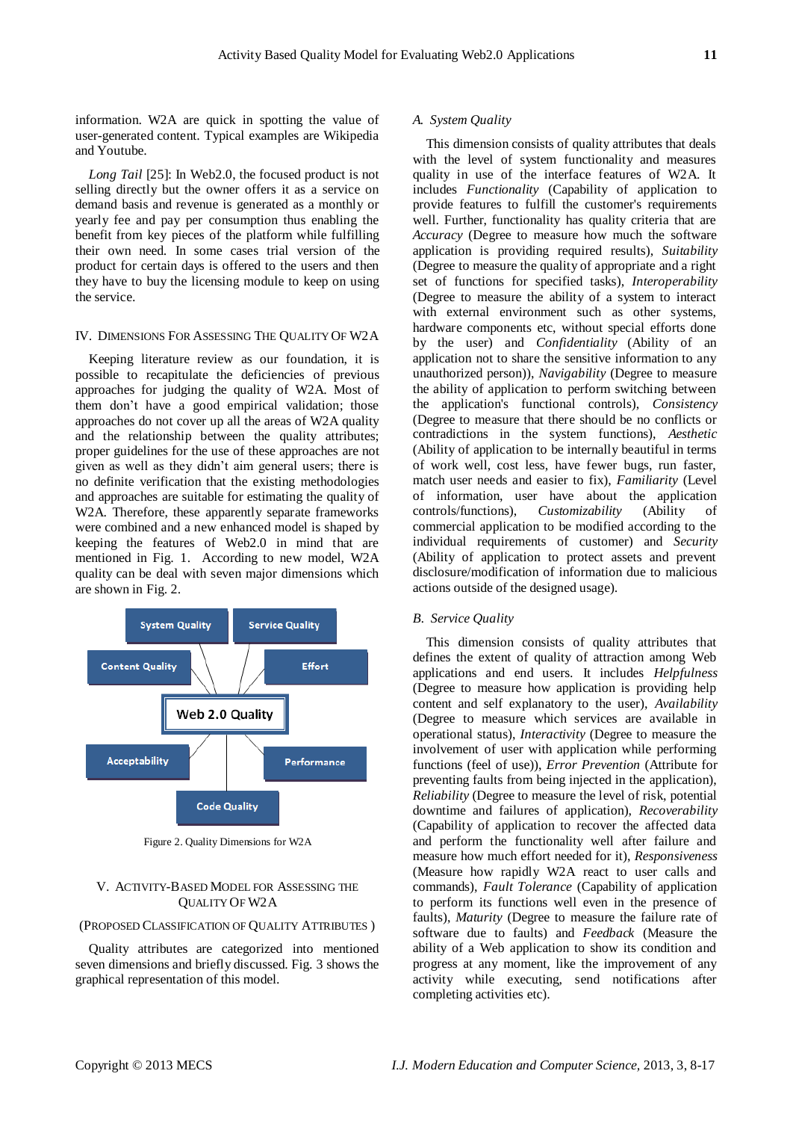information. W2A are quick in spotting the value of user-generated content. Typical examples are Wikipedia and Youtube.

*Long Tail* [25]: In Web2.0, the focused product is not selling directly but the owner offers it as a service on demand basis and revenue is generated as a monthly or yearly fee and pay per consumption thus enabling the benefit from key pieces of the platform while fulfilling their own need. In some cases trial version of the product for certain days is offered to the users and then they have to buy the licensing module to keep on using the service.

#### IV. DIMENSIONS FOR ASSESSING THE QUALITY OF W2A

Keeping literature review as our foundation, it is possible to recapitulate the deficiencies of previous approaches for judging the quality of W2A. Most of them don't have a good empirical validation; those approaches do not cover up all the areas of W2A quality and the relationship between the quality attributes; proper guidelines for the use of these approaches are not given as well as they didn't aim general users; there is no definite verification that the existing methodologies and approaches are suitable for estimating the quality of W2A. Therefore, these apparently separate frameworks were combined and a new enhanced model is shaped by keeping the features of Web2.0 in mind that are mentioned in Fig. 1. According to new model, W2A quality can be deal with seven major dimensions which are shown in Fig. 2.



Figure 2. Quality Dimensions for W2A

#### V. ACTIVITY-BASED MODEL FOR ASSESSING THE QUALITY OF W2A

#### (PROPOSED CLASSIFICATION OF QUALITY ATTRIBUTES )

Quality attributes are categorized into mentioned seven dimensions and briefly discussed. Fig. 3 shows the graphical representation of this model.

#### *A. System Quality*

This dimension consists of quality attributes that deals with the level of system functionality and measures quality in use of the interface features of W2A. It includes *Functionality* (Capability of application to provide features to fulfill the customer's requirements well. Further, functionality has quality criteria that are *Accuracy* (Degree to measure how much the software application is providing required results), *Suitability* (Degree to measure the quality of appropriate and a right set of functions for specified tasks), *Interoperability* (Degree to measure the ability of a system to interact with external environment such as other systems, hardware components etc, without special efforts done by the user) and *Confidentiality* (Ability of an application not to share the sensitive information to any unauthorized person)), *Navigability* (Degree to measure the ability of application to perform switching between the application's functional controls), *Consistency* (Degree to measure that there should be no conflicts or contradictions in the system functions), *Aesthetic* (Ability of application to be internally beautiful in terms of work well, cost less, have fewer bugs, run faster, match user needs and easier to fix), *Familiarity* (Level of information, user have about the application controls/functions), *Customizability* (Ability of commercial application to be modified according to the individual requirements of customer) and *Security*  (Ability of application to protect assets and prevent disclosure/modification of information due to malicious actions outside of the designed usage).

#### *B. Service Quality*

This dimension consists of quality attributes that defines the extent of quality of attraction among Web applications and end users. It includes *Helpfulness* (Degree to measure how application is providing help content and self explanatory to the user), *Availability* (Degree to measure which services are available in operational status), *Interactivity* (Degree to measure the involvement of user with application while performing functions (feel of use)), *Error Prevention* (Attribute for preventing faults from being injected in the application), *Reliability* (Degree to measure the level of risk, potential downtime and failures of application), *Recoverability*  (Capability of application to recover the affected data and perform the functionality well after failure and measure how much effort needed for it), *Responsiveness* (Measure how rapidly W2A react to user calls and commands), *Fault Tolerance* (Capability of application to perform its functions well even in the presence of faults), *Maturity* (Degree to measure the failure rate of software due to faults) and *Feedback* (Measure the ability of a Web application to show its condition and progress at any moment, like the improvement of any activity while executing, send notifications after completing activities etc).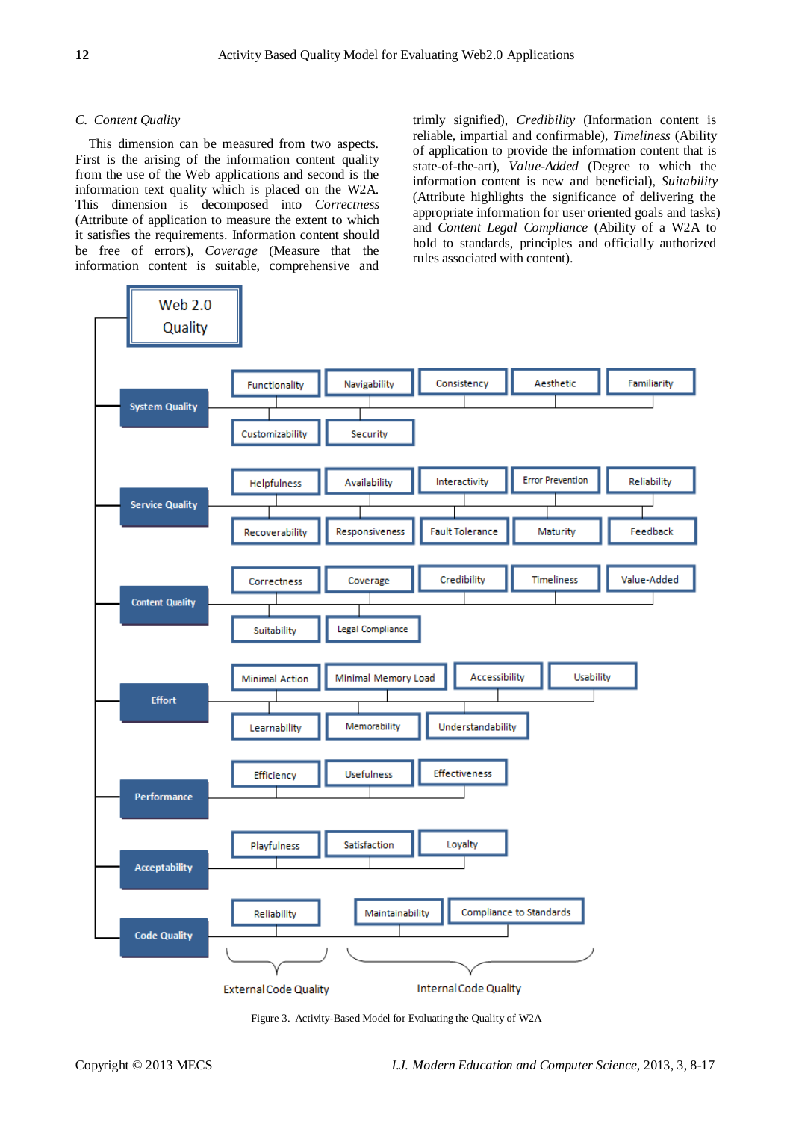#### *C. Content Quality*

This dimension can be measured from two aspects. First is the arising of the information content quality from the use of the Web applications and second is the information text quality which is placed on the W2A. This dimension is decomposed into *Correctness* (Attribute of application to measure the extent to which it satisfies the requirements. Information content should be free of errors), *Coverage* (Measure that the information content is suitable, comprehensive and trimly signified), *Credibility* (Information content is reliable, impartial and confirmable), *Timeliness* (Ability of application to provide the information content that is state-of-the-art), *Value-Added* (Degree to which the information content is new and beneficial), *Suitability* (Attribute highlights the significance of delivering the appropriate information for user oriented goals and tasks) and *Content Legal Compliance* (Ability of a W2A to hold to standards, principles and officially authorized rules associated with content).



Figure 3. Activity-Based Model for Evaluating the Quality of W2A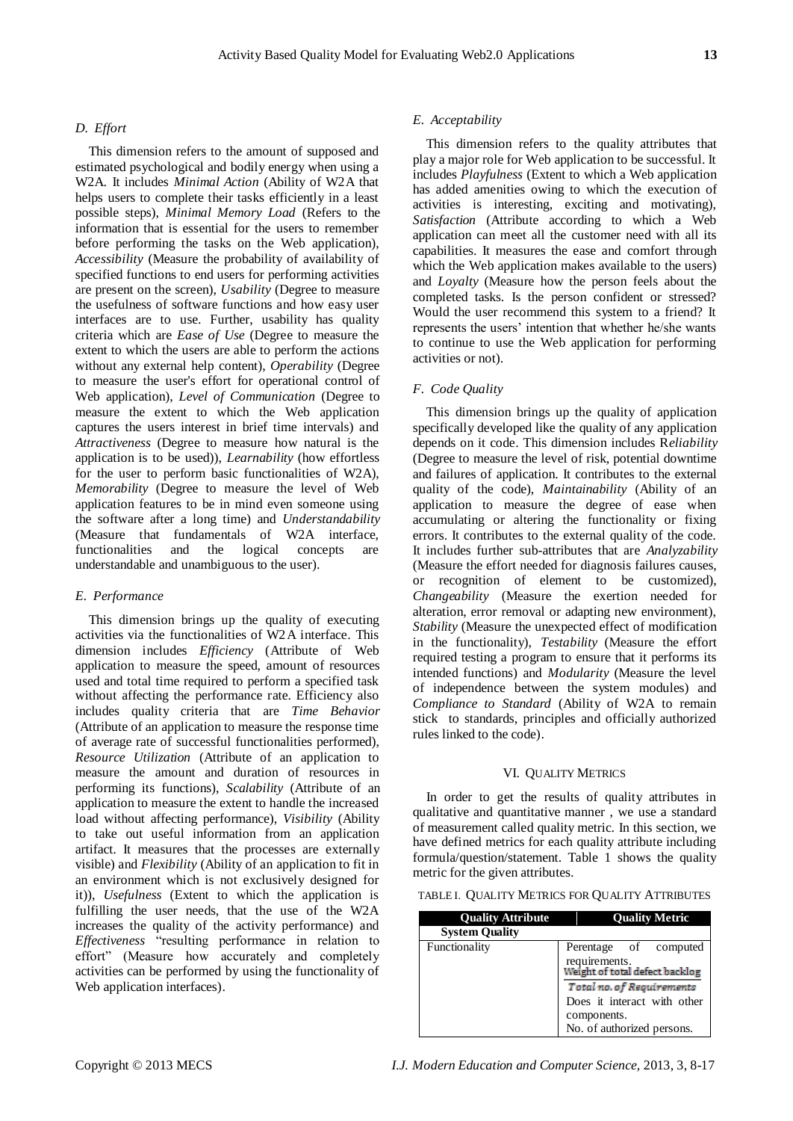# *D. Effort*

This dimension refers to the amount of supposed and estimated psychological and bodily energy when using a W2A. It includes *Minimal Action* (Ability of W2A that helps users to complete their tasks efficiently in a least possible steps), *Minimal Memory Load* (Refers to the information that is essential for the users to remember before performing the tasks on the Web application), *Accessibility* (Measure the probability of availability of specified functions to end users for performing activities are present on the screen), *Usability* (Degree to measure the usefulness of software functions and how easy user interfaces are to use. Further, usability has quality criteria which are *Ease of Use* (Degree to measure the extent to which the users are able to perform the actions without any external help content), *Operability* (Degree to measure the user's effort for operational control of Web application), *Level of Communication* (Degree to measure the extent to which the Web application captures the users interest in brief time intervals) and *Attractiveness* (Degree to measure how natural is the application is to be used)), *Learnability* (how effortless for the user to perform basic functionalities of W2A), *Memorability* (Degree to measure the level of Web application features to be in mind even someone using the software after a long time) and *Understandability* (Measure that fundamentals of W2A interface, functionalities and the logical concepts are understandable and unambiguous to the user).

# *E. Performance*

This dimension brings up the quality of executing activities via the functionalities of W2A interface. This dimension includes *Efficiency* (Attribute of Web application to measure the speed, amount of resources used and total time required to perform a specified task without affecting the performance rate. Efficiency also includes quality criteria that are *Time Behavior*  (Attribute of an application to measure the response time of average rate of successful functionalities performed), *Resource Utilization* (Attribute of an application to measure the amount and duration of resources in performing its functions), *Scalability* (Attribute of an application to measure the extent to handle the increased load without affecting performance), *Visibility* (Ability to take out useful information from an application artifact. It measures that the processes are externally visible) and *Flexibility* (Ability of an application to fit in an environment which is not exclusively designed for it)), *Usefulness* (Extent to which the application is fulfilling the user needs, that the use of the W2A increases the quality of the activity performance) and *Effectiveness* "resulting performance in relation to effort" (Measure how accurately and completely activities can be performed by using the functionality of Web application interfaces).

#### *E. Acceptability*

This dimension refers to the quality attributes that play a major role for Web application to be successful. It includes *Playfulness* (Extent to which a Web application has added amenities owing to which the execution of activities is interesting, exciting and motivating), *Satisfaction* (Attribute according to which a Web application can meet all the customer need with all its capabilities. It measures the ease and comfort through which the Web application makes available to the users) and *Loyalty* (Measure how the person feels about the completed tasks. Is the person confident or stressed? Would the user recommend this system to a friend? It represents the users' intention that whether he/she wants to continue to use the Web application for performing activities or not).

### *F. Code Quality*

This dimension brings up the quality of application specifically developed like the quality of any application depends on it code. This dimension includes R*eliability* (Degree to measure the level of risk, potential downtime and failures of application. It contributes to the external quality of the code), *Maintainability* (Ability of an application to measure the degree of ease when accumulating or altering the functionality or fixing errors. It contributes to the external quality of the code. It includes further sub-attributes that are *Analyzability* (Measure the effort needed for diagnosis failures causes, or recognition of element to be customized), *Changeability* (Measure the exertion needed for alteration, error removal or adapting new environment), *Stability* (Measure the unexpected effect of modification in the functionality), *Testability* (Measure the effort required testing a program to ensure that it performs its intended functions) and *Modularity* (Measure the level of independence between the system modules) and *Compliance to Standard* (Ability of W2A to remain stick to standards, principles and officially authorized rules linked to the code).

#### VI. QUALITY METRICS

In order to get the results of quality attributes in qualitative and quantitative manner , we use a standard of measurement called quality metric. In this section, we have defined metrics for each quality attribute including formula/question/statement. Table 1 shows the quality metric for the given attributes.

TABLE I. QUALITY METRICS FOR QUALITY ATTRIBUTES

| <b>Quality Attribute</b> | <b>Quality Metric</b>                                                                                 |  |  |
|--------------------------|-------------------------------------------------------------------------------------------------------|--|--|
| <b>System Quality</b>    |                                                                                                       |  |  |
| Functionality            | Perentage of computed<br>requirements.<br>Weight of total defect backlog                              |  |  |
|                          | Total no. of Requirements<br>Does it interact with other<br>components.<br>No. of authorized persons. |  |  |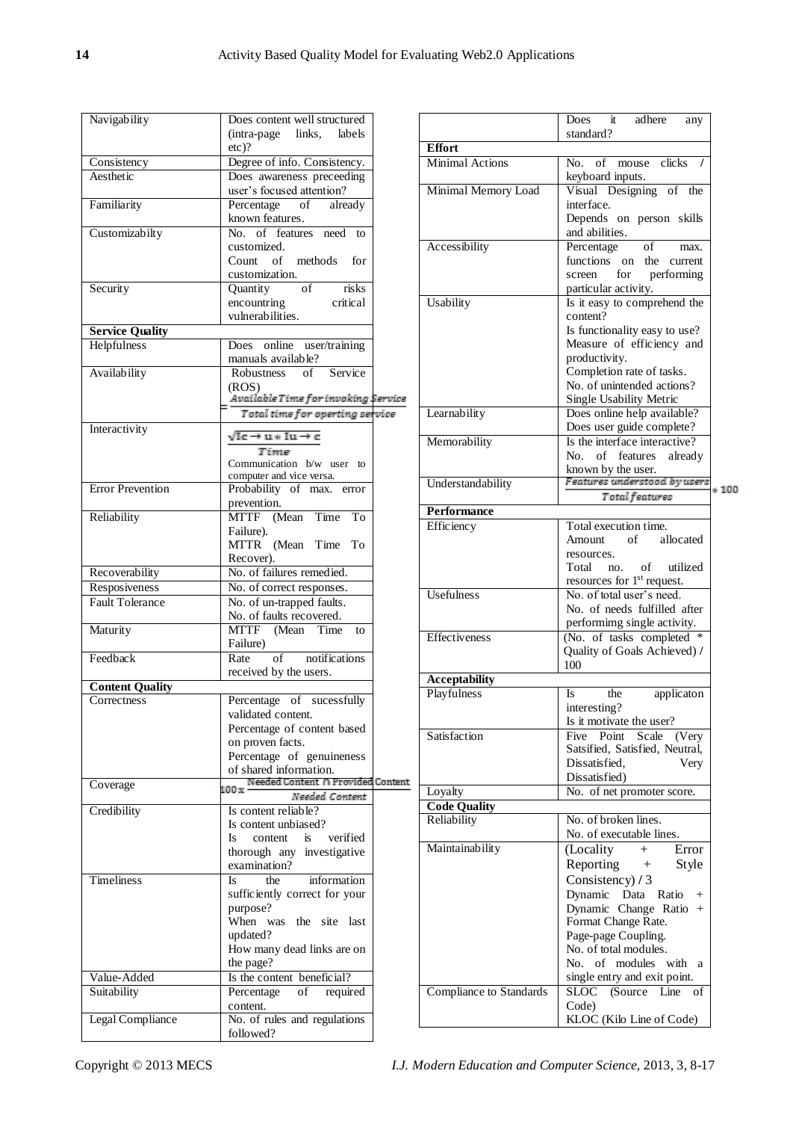| Navigability            | Does content well structured<br>(intra-page links,<br>labels |
|-------------------------|--------------------------------------------------------------|
|                         | $etc$ )?                                                     |
| Consistency             | Degree of info. Consistency.                                 |
| Aesthetic               | Does awareness preceeding<br>user's focused attention?       |
| Familiarity             | Percentage<br>of<br>already<br>known features.               |
| Customizabilty          | No. of features need<br>to<br>customized.                    |
|                         | Count of methods for<br>customization.                       |
| Security                | <sub>of</sub><br>risks<br>Quantity                           |
|                         | encountring<br>critical                                      |
|                         | vulnerabilities.                                             |
| <b>Service Quality</b>  |                                                              |
| Helpfulness             | Does online user/training                                    |
|                         | manuals available?                                           |
| Availability            | Robustness of<br>Service                                     |
|                         |                                                              |
|                         | (ROS)<br>Available Time for invoking Service                 |
|                         | Total time for operting service                              |
|                         |                                                              |
| Interactivity           | √Ic→u∗Iu→c                                                   |
|                         | Time                                                         |
|                         | Communication b/w user to                                    |
|                         | computer and vice versa.                                     |
| <b>Error Prevention</b> | Probability of max. error                                    |
|                         | prevention.                                                  |
| Reliability             | MTTF (Mean Time<br>To                                        |
|                         | Failure).                                                    |
|                         | MTTR (Mean Time To                                           |
|                         | Recover).                                                    |
| Recoverability          | No. of failures remedied.                                    |
| Resposiveness           | No. of correct responses.                                    |
| <b>Fault Tolerance</b>  | No. of un-trapped faults.                                    |
|                         | No. of faults recovered.                                     |
| Maturity                | MTTF (Mean Time<br>to                                        |
|                         | Failure)                                                     |
| Feedback                | notifications<br>of<br>Rate                                  |
|                         | received by the users.                                       |
| <b>Content Quality</b>  |                                                              |
| Correctness             | Percentage of sucessfully                                    |
|                         | validated content.                                           |
|                         | Percentage of content based                                  |
|                         | on proven facts.                                             |
|                         | Percentage of genuineness                                    |
|                         | of shared information.                                       |
| Coverage                | Needed Content n Provided Content<br>$100\,\mathrm{x}$       |
|                         | Needed Content                                               |
| Credibility             | Is content reliable?                                         |
|                         | Is content unbiased?                                         |
|                         | verified<br>Is<br>content<br>is.                             |
|                         | thorough any investigative                                   |
|                         | examination?                                                 |
| <b>Timeliness</b>       | Is<br>information<br>the                                     |
|                         | sufficiently correct for your                                |
|                         | purpose?                                                     |
|                         | When was the site last                                       |
|                         | updated?                                                     |
|                         | How many dead links are on                                   |
|                         | the page?                                                    |
| Value-Added             | Is the content beneficial?                                   |
| Suitability             | Percentage<br>of<br>required                                 |
|                         | content.                                                     |
| Legal Compliance        | No. of rules and regulations                                 |
|                         | followed?                                                    |
|                         |                                                              |

|                                | Does<br>adhere<br>it<br>any<br>standard?                                                                                               |  |  |  |
|--------------------------------|----------------------------------------------------------------------------------------------------------------------------------------|--|--|--|
| <b>Effort</b>                  |                                                                                                                                        |  |  |  |
| <b>Minimal Actions</b>         | No. of mouse clicks /<br>keyboard inputs.                                                                                              |  |  |  |
| Minimal Memory Load            | Visual Designing of the<br>interface.<br>Depends on person skills                                                                      |  |  |  |
| Accessibility                  | and abilities.<br>Percentage<br>of<br>max.                                                                                             |  |  |  |
|                                | functions on the<br>current<br>for<br>performing<br>screen<br>particular activity.                                                     |  |  |  |
| Usability                      | Is it easy to comprehend the<br>content?                                                                                               |  |  |  |
|                                | Is functionality easy to use?<br>Measure of efficiency and<br>productivity.<br>Completion rate of tasks.<br>No. of unintended actions? |  |  |  |
| Learnability                   | Single Usability Metric<br>Does online help available?                                                                                 |  |  |  |
| Memorability                   | Does user guide complete?<br>Is the interface interactive?<br>of features already<br>No.<br>known by the user.                         |  |  |  |
| Understandability              | Features understood by users<br>$*100$<br>Total features                                                                               |  |  |  |
| Performance                    |                                                                                                                                        |  |  |  |
| Efficiency                     | Total execution time.<br>Amount of allocated<br>resources.<br>Total no. of utilized<br>resources for 1 <sup>st</sup> request.          |  |  |  |
| <b>Usefulness</b>              | No. of total user's need.<br>No. of needs fulfilled after<br>performimg single activity.                                               |  |  |  |
| Effectiveness                  | (No. of tasks completed *<br>Quality of Goals Achieved) /<br>100                                                                       |  |  |  |
| Acceptability                  |                                                                                                                                        |  |  |  |
| Playfulness                    | the<br>applicaton<br>Is -<br>interesting?<br>Is it motivate the user?                                                                  |  |  |  |
| Satisfaction                   | Five Point Scale<br>(Very<br>Satsified, Satisfied, Neutral,<br>Dissatisfied.<br>Very<br>Dissatisfied)                                  |  |  |  |
| Loyalty                        | No. of net promoter score.                                                                                                             |  |  |  |
| <b>Code Quality</b>            |                                                                                                                                        |  |  |  |
| Reliability                    | No. of broken lines.<br>No. of executable lines.                                                                                       |  |  |  |
| Maintainability                | (Locality<br>$+$<br>Error<br>Reporting $+$<br>Style<br>Consistency) / 3                                                                |  |  |  |
|                                | Dynamic Data<br>Ratio<br>$^{+}$<br>Dynamic Change Ratio<br>$+$<br>Format Change Rate.<br>Page-page Coupling.<br>No. of total modules.  |  |  |  |
|                                | No. of modules with a<br>single entry and exit point.                                                                                  |  |  |  |
| <b>Compliance to Standards</b> | SLOC (Source Line<br>of<br>Code)<br>KLOC (Kilo Line of Code)                                                                           |  |  |  |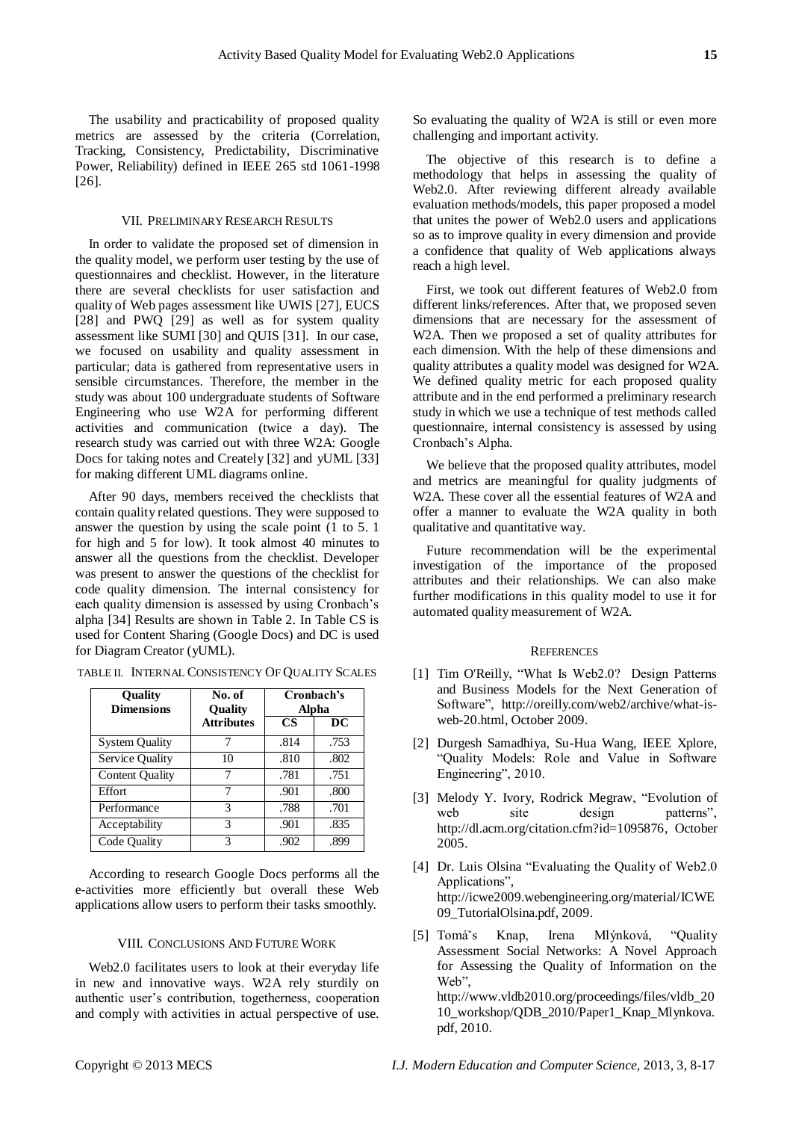The usability and practicability of proposed quality metrics are assessed by the criteria (Correlation, Tracking, Consistency, Predictability, Discriminative Power, Reliability) defined in IEEE 265 std 1061-1998 [26].

#### VII. PRELIMINARY RESEARCH RESULTS

In order to validate the proposed set of dimension in the quality model, we perform user testing by the use of questionnaires and checklist. However, in the literature there are several checklists for user satisfaction and quality of Web pages assessment like UWIS [27], EUCS [28] and PWQ [29] as well as for system quality assessment like SUMI [30] and QUIS [31]. In our case, we focused on usability and quality assessment in particular; data is gathered from representative users in sensible circumstances. Therefore, the member in the study was about 100 undergraduate students of Software Engineering who use W2A for performing different activities and communication (twice a day). The research study was carried out with three W2A: Google Docs for taking notes and Creately [32] and yUML [33] for making different UML diagrams online.

After 90 days, members received the checklists that contain quality related questions. They were supposed to answer the question by using the scale point (1 to 5. 1 for high and 5 for low). It took almost 40 minutes to answer all the questions from the checklist. Developer was present to answer the questions of the checklist for code quality dimension. The internal consistency for each quality dimension is assessed by using Cronbach's alpha [34] Results are shown in Table 2. In Table CS is used for Content Sharing (Google Docs) and DC is used for Diagram Creator (yUML).

| <b>Ouality</b><br><b>Dimensions</b> | No. of<br><b>Ouality</b> | Cronbach's<br><b>Alpha</b> |      |
|-------------------------------------|--------------------------|----------------------------|------|
|                                     | <b>Attributes</b>        | <b>CS</b>                  | DC   |
| <b>System Quality</b>               |                          | .814                       | .753 |
| <b>Service Quality</b>              | 10                       | .810                       | .802 |
| <b>Content Quality</b>              |                          | .781                       | .751 |
| Effort                              |                          | .901                       | .800 |
| Performance                         | 3                        | .788                       | .701 |
| Acceptability                       | 3                        | .901                       | .835 |
| Code Quality                        | 3                        | .902                       | .899 |

TABLE II. INTERNAL CONSISTENCY OF QUALITY SCALES

According to research Google Docs performs all the e-activities more efficiently but overall these Web applications allow users to perform their tasks smoothly.

#### VIII. CONCLUSIONS AND FUTURE WORK

Web2.0 facilitates users to look at their everyday life in new and innovative ways. W2A rely sturdily on authentic user's contribution, togetherness, cooperation and comply with activities in actual perspective of use. So evaluating the quality of W2A is still or even more challenging and important activity.

The objective of this research is to define a methodology that helps in assessing the quality of Web2.0. After reviewing different already available evaluation methods/models, this paper proposed a model that unites the power of Web2.0 users and applications so as to improve quality in every dimension and provide a confidence that quality of Web applications always reach a high level.

First, we took out different features of Web2.0 from different links/references. After that, we proposed seven dimensions that are necessary for the assessment of W2A. Then we proposed a set of quality attributes for each dimension. With the help of these dimensions and quality attributes a quality model was designed for W2A. We defined quality metric for each proposed quality attribute and in the end performed a preliminary research study in which we use a technique of test methods called questionnaire, internal consistency is assessed by using Cronbach's Alpha.

We believe that the proposed quality attributes, model and metrics are meaningful for quality judgments of W2A. These cover all the essential features of W2A and offer a manner to evaluate the W2A quality in both qualitative and quantitative way.

Future recommendation will be the experimental investigation of the importance of the proposed attributes and their relationships. We can also make further modifications in this quality model to use it for automated quality measurement of W2A.

#### **REFERENCES**

- [1] [Tim O'Reilly,](http://www.oreillynet.com/pub/au/27) "What Is Web2.0? Design Patterns and Business Models for the Next Generation of Software", [http://oreilly.com/web2/archive/what-is](http://oreilly.com/web2/archive/what-is-web-20.html)[web-20.html,](http://oreilly.com/web2/archive/what-is-web-20.html) October 2009.
- [2] Durgesh Samadhiya, Su-Hua Wang, IEEE Xplore, ―Quality Models: Role and Value in Software Engineering", 2010.
- [3] [Melody Y. Ivory,](http://dl.acm.org/author_page.cfm?id=81100296046&coll=DL&dl=ACM&trk=0&cfid=154752392&cftoken=59366507) [Rodrick Megraw,](http://dl.acm.org/author_page.cfm?id=81310484584&coll=DL&dl=ACM&trk=0&cfid=154752392&cftoken=59366507) "Evolution of web site design patterns", [http://dl.acm.org/citation.cfm?id=1095876,](http://dl.acm.org/citation.cfm?id=1095876) October 2005.
- [4] Dr. Luis Olsina "Evaluating the Quality of Web2.0 Applications", [http://icwe2009.webengineering.org/material/ICWE](http://icwe2009.webengineering.org/material/ICWE09_TutorialOlsina.pdf) [09\\_TutorialOlsina.pdf,](http://icwe2009.webengineering.org/material/ICWE09_TutorialOlsina.pdf) 2009.
- [5] Tomá`s Knap, Irena Mlýnková, "Quality Assessment Social Networks: A Novel Approach for Assessing the Quality of Information on the Web". [http://www.vldb2010.org/proceedings/files/vldb\\_20](http://www.vldb2010.org/proceedings/files/vldb_2010_workshop/QDB_2010/Paper1_Knap_Mlynkova.pdf) [10\\_workshop/QDB\\_2010/Paper1\\_Knap\\_Mlynkova.](http://www.vldb2010.org/proceedings/files/vldb_2010_workshop/QDB_2010/Paper1_Knap_Mlynkova.pdf) [pdf,](http://www.vldb2010.org/proceedings/files/vldb_2010_workshop/QDB_2010/Paper1_Knap_Mlynkova.pdf) 2010.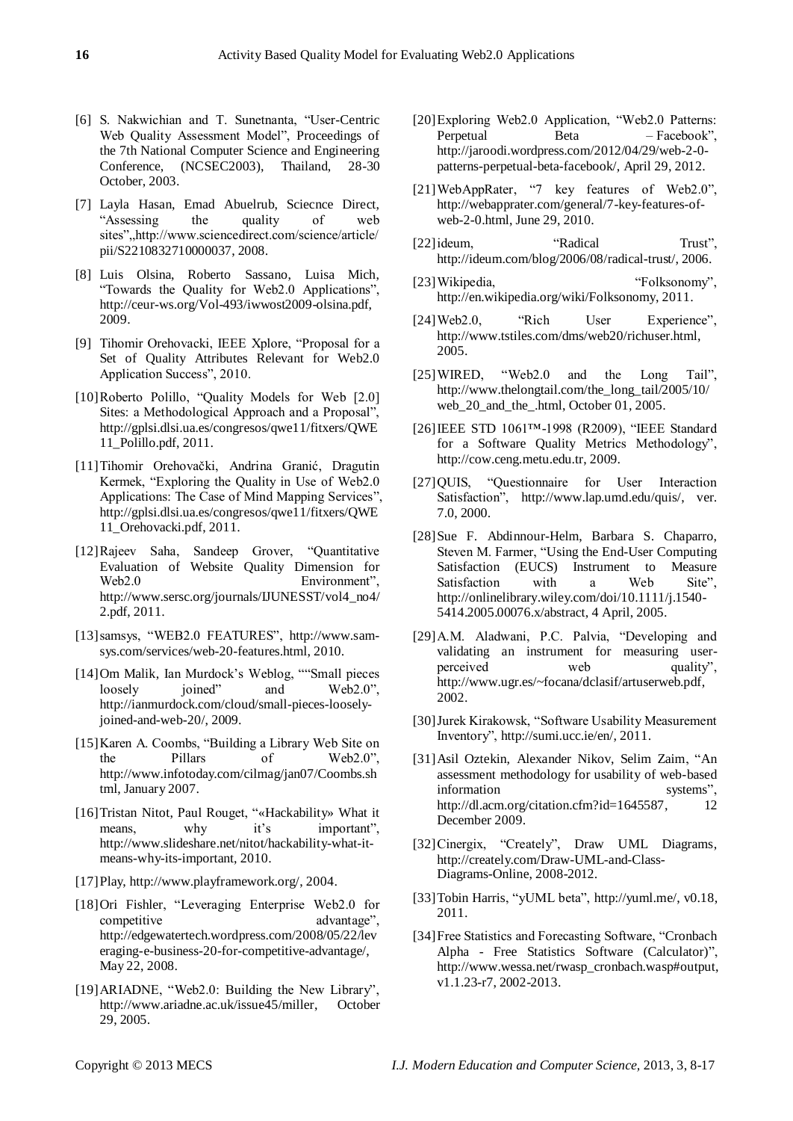- [6] S. Nakwichian and T. Sunetnanta, "User-Centric Web Quality Assessment Model", Proceedings of the 7th National Computer Science and Engineering Conference, (NCSEC2003), Thailand, 28-30 October, 2003.
- [7] Layla Hasan, Emad Abuelrub, Sciecnce Direct, "Assessing the quality of web sites",,http://www.sciencedirect.com/science/article/ pii/S2210832710000037, 2008.
- [8] Luis Olsina, Roberto Sassano, Luisa Mich, "Towards the Quality for Web2.0 Applications", http://ceur-ws.org/Vol-493/iwwost2009-olsina.pdf, 2009.
- [9] Tihomir Orehovacki, IEEE Xplore, "Proposal for a Set of Quality Attributes Relevant for Web2.0 Application Success", 2010.
- [10]Roberto Polillo, "Quality Models for Web [2.0] Sites: a Methodological Approach and a Proposal", [http://gplsi.dlsi.ua.es/congresos/qwe11/fitxers/QWE](http://gplsi.dlsi.ua.es/congresos/qwe11/fitxers/QWE11_Polillo.pdf) [11\\_Polillo.pdf,](http://gplsi.dlsi.ua.es/congresos/qwe11/fitxers/QWE11_Polillo.pdf) 2011.
- [11]Tihomir Orehovački, Andrina Granić, Dragutin Kermek, "Exploring the Quality in Use of Web2.0" Applications: The Case of Mind Mapping Services", [http://gplsi.dlsi.ua.es/congresos/qwe11/fitxers/QWE](http://gplsi.dlsi.ua.es/congresos/qwe11/fitxers/QWE11_Orehovacki.pdf) [11\\_Orehovacki.pdf,](http://gplsi.dlsi.ua.es/congresos/qwe11/fitxers/QWE11_Orehovacki.pdf) 2011.
- [12]Rajeev Saha, Sandeep Grover, "Quantitative Evaluation of Website Quality Dimension for Web2.0 Environment", [http://www.sersc.org/journals/IJUNESST/vol4\\_no4/](http://www.sersc.org/journals/IJUNESST/vol4_no4/2.pdf) [2.pdf,](http://www.sersc.org/journals/IJUNESST/vol4_no4/2.pdf) 2011.
- [13]samsys, "WEB2.0 FEATURES", [http://www.sam](http://www.sam-sys.com/services/web-20-features.html)[sys.com/services/web-20-features.html,](http://www.sam-sys.com/services/web-20-features.html) 2010.
- [14[\]Om Malik,](http://gigaom.com/2005/11/10/web-20-exit-what-is-that/) [Ian Murdock's Weblog,](http://ianmurdock.com/) ""Small pieces loosely joined" and Web2.0", [http://ianmurdock.com/cloud/small-pieces-loosely](http://ianmurdock.com/cloud/small-pieces-loosely-joined-and-web-20/)[joined-and-web-20/,](http://ianmurdock.com/cloud/small-pieces-loosely-joined-and-web-20/) 2009.
- [15] Karen A. Coombs, "Building a Library Web Site on the Pillars of Web2.0", [http://www.infotoday.com/cilmag/jan07/Coombs.sh](http://www.infotoday.com/cilmag/jan07/Coombs.shtml) [tml,](http://www.infotoday.com/cilmag/jan07/Coombs.shtml) January 2007.
- [16] Tristan Nitot, Paul Rouget, "«Hackability» What it means, why it's important", [http://www.slideshare.net/nitot/hackability-what-it](http://www.slideshare.net/nitot/hackability-what-it-means-why-its-important)[means-why-its-important,](http://www.slideshare.net/nitot/hackability-what-it-means-why-its-important) 2010.
- [17]Play, [http://www.playframework.org/,](http://www.playframework.org/) 2004.
- [18[\]Ori Fishler,](http://edgewatertech.wordpress.com/author/ofishler/) "Leveraging Enterprise Web2.0 for competitive advantage", [http://edgewatertech.wordpress.com/2008/05/22/lev](http://edgewatertech.wordpress.com/2008/05/22/leveraging-e-business-20-for-competitive-advantage/) [eraging-e-business-20-for-competitive-advantage/,](http://edgewatertech.wordpress.com/2008/05/22/leveraging-e-business-20-for-competitive-advantage/) [May 22, 2008.](http://edgewatertech.wordpress.com/2008/05/22/leveraging-e-business-20-for-competitive-advantage/)
- [19]ARIADNE, "Web2.0: Building the New Library", [http://www.ariadne.ac.uk/issue45/miller,](http://www.ariadne.ac.uk/issue45/miller) October 29, 2005.
- [20]Exploring Web2.0 Application, "Web2.0 Patterns: Perpetual Beta – Facebook", [http://jaroodi.wordpress.com/2012/04/29/web-2-0](http://jaroodi.wordpress.com/2012/04/29/web-2-0-patterns-perpetual-beta-facebook/) [patterns-perpetual-beta-facebook/,](http://jaroodi.wordpress.com/2012/04/29/web-2-0-patterns-perpetual-beta-facebook/) April 29, 2012.
- [21]WebAppRater, "7 key features of Web2.0", http://webapprater.com/general/7-key-features-ofweb-2-0.html, June 29, 2010.
- [22] ideum, "Radical Trust". [http://ideum.com/blog/2006/08/radical-trust/,](http://ideum.com/blog/2006/08/radical-trust/) 2006.
- [23] Wikipedia, 
"Folksonomy", [http://en.wikipedia.org/wiki/Folksonomy,](http://en.wikipedia.org/wiki/Folksonomy) 2011.
- [24]Web2.0, "Rich User Experience", http://www.tstiles.com/dms/web20/richuser.html, 2005.
- [25] WIRED, "Web2.0 and the Long Tail", [http://www.thelongtail.com/the\\_long\\_tail/2005/10/](http://www.thelongtail.com/the_long_tail/2005/10/web_20_and_the_.html) web 20 and the .html, October 01, 2005.
- [26] IEEE STD 1061™-1998 (R2009), "IEEE Standard for a Software Quality Metrics Methodology", [http://cow.ceng.metu.edu.tr,](http://cow.ceng.metu.edu.tr/) 2009.
- [27] QUIS, "Questionnaire for User Interaction Satisfaction", [http://www.lap.umd.edu/quis/,](http://www.lap.umd.edu/quis/) ver. 7.0, 2000.
- [28]Sue F. Abdinnour-Helm, Barbara S. Chaparro, Steven M. Farmer, "Using the End-User Computing Satisfaction (EUCS) Instrument to Measure Satisfaction with a Web Site". [http://onlinelibrary.wiley.com/doi/10.1111/j.1540-](http://onlinelibrary.wiley.com/doi/10.1111/j.1540-5414.2005.00076.x/abstract) [5414.2005.00076.x/abstract,](http://onlinelibrary.wiley.com/doi/10.1111/j.1540-5414.2005.00076.x/abstract) 4 April, 2005.
- [29] A.M. Aladwani, P.C. Palvia, "Developing and validating an instrument for measuring userperceived web quality", [http://www.ugr.es/~focana/dclasif/artuserweb.pdf,](http://www.ugr.es/~focana/dclasif/artuserweb.pdf) 2002.
- [30] Jurek Kirakowsk, "Software Usability Measurement Inventory‖, [http://sumi.ucc.ie/en/,](http://sumi.ucc.ie/en/) 2011.
- [31[\]Asil Oztekin,](http://dl.acm.org/author_page.cfm?id=81447594491&coll=DL&dl=ACM&trk=0&cfid=268824578&cftoken=76323829) [Alexander Nikov,](http://dl.acm.org/author_page.cfm?id=81447595437&coll=DL&dl=ACM&trk=0&cfid=268824578&cftoken=76323829) [Selim Zaim,](http://dl.acm.org/author_page.cfm?id=81447604370&coll=DL&dl=ACM&trk=0&cfid=268824578&cftoken=76323829) "An assessment methodology for usability of web-based information systems", [http://dl.acm.org/citation.cfm?id=1645587,](http://dl.acm.org/citation.cfm?id=1645587) 12 December 2009.
- [32]Cinergix, "Creately", Draw UML Diagrams, [http://creately.com/Draw-UML-and-Class-](http://creately.com/Draw-UML-and-Class-Diagrams-Online)[Diagrams-Online,](http://creately.com/Draw-UML-and-Class-Diagrams-Online) 2008-2012.
- [33] Tobin Harris, "yUML beta", [http://yuml.me/,](http://yuml.me/) v0.18, 2011.
- [34] Free Statistics and Forecasting Software, "Cronbach" Alpha - Free Statistics Software (Calculator)", http://www.wessa.net/rwasp\_cronbach.wasp#output, v1.1.23-r7, 2002-2013.